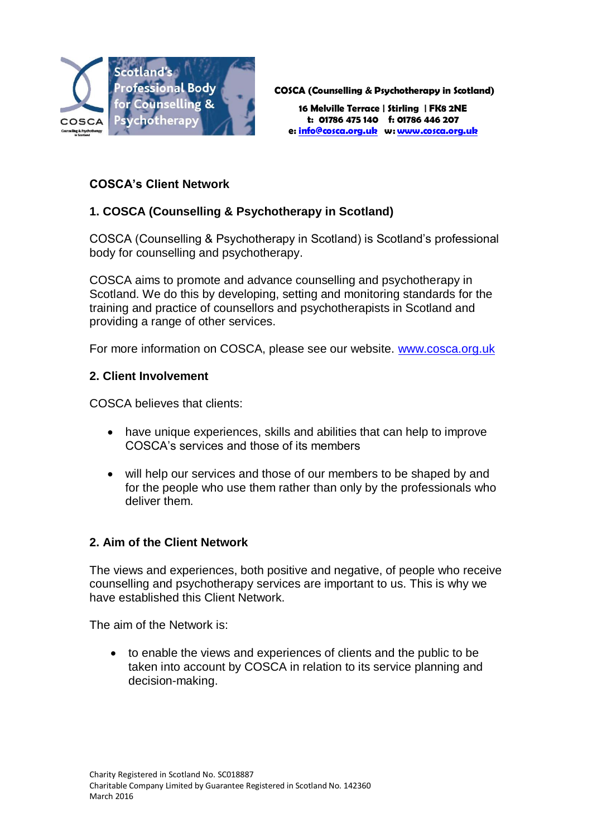

**COSCA (Counselling & Psychotherapy in Scotland)**

**16 Melville Terrace | Stirling | FK8 2NE t: 01786 475 140 f: 01786 446 207 e[: info@cosca.org.uk](mailto:info@cosca.org.uk) w[: www.cosca.org.uk](http://www.cosca.org.uk/)**

# **COSCA's Client Network**

# **1. COSCA (Counselling & Psychotherapy in Scotland)**

COSCA (Counselling & Psychotherapy in Scotland) is Scotland's professional body for counselling and psychotherapy.

COSCA aims to promote and advance counselling and psychotherapy in Scotland. We do this by developing, setting and monitoring standards for the training and practice of counsellors and psychotherapists in Scotland and providing a range of other services.

For more information on COSCA, please see our website. [www.cosca.org.uk](http://www.cosca.org.uk/)

#### **2. Client Involvement**

COSCA believes that clients:

- have unique experiences, skills and abilities that can help to improve COSCA's services and those of its members
- will help our services and those of our members to be shaped by and for the people who use them rather than only by the professionals who deliver them.

#### **2. Aim of the Client Network**

The views and experiences, both positive and negative, of people who receive counselling and psychotherapy services are important to us. This is why we have established this Client Network.

The aim of the Network is:

 to enable the views and experiences of clients and the public to be taken into account by COSCA in relation to its service planning and decision-making.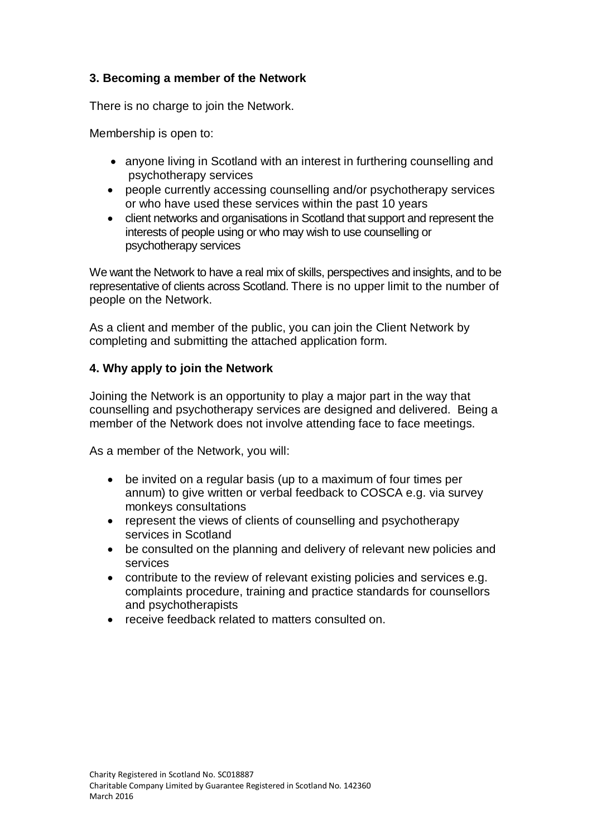# **3. Becoming a member of the Network**

There is no charge to join the Network.

Membership is open to:

- anyone living in Scotland with an interest in furthering counselling and psychotherapy services
- people currently accessing counselling and/or psychotherapy services or who have used these services within the past 10 years
- client networks and organisations in Scotland that support and represent the interests of people using or who may wish to use counselling or psychotherapy services

We want the Network to have a real mix of skills, perspectives and insights, and to be representative of clients across Scotland. There is no upper limit to the number of people on the Network.

As a client and member of the public, you can join the Client Network by completing and submitting the attached application form.

### **4. Why apply to join the Network**

Joining the Network is an opportunity to play a major part in the way that counselling and psychotherapy services are designed and delivered. Being a member of the Network does not involve attending face to face meetings.

As a member of the Network, you will:

- be invited on a regular basis (up to a maximum of four times per annum) to give written or verbal feedback to COSCA e.g. via survey monkeys consultations
- represent the views of clients of counselling and psychotherapy services in Scotland
- be consulted on the planning and delivery of relevant new policies and services
- contribute to the review of relevant existing policies and services e.g. complaints procedure, training and practice standards for counsellors and psychotherapists
- receive feedback related to matters consulted on.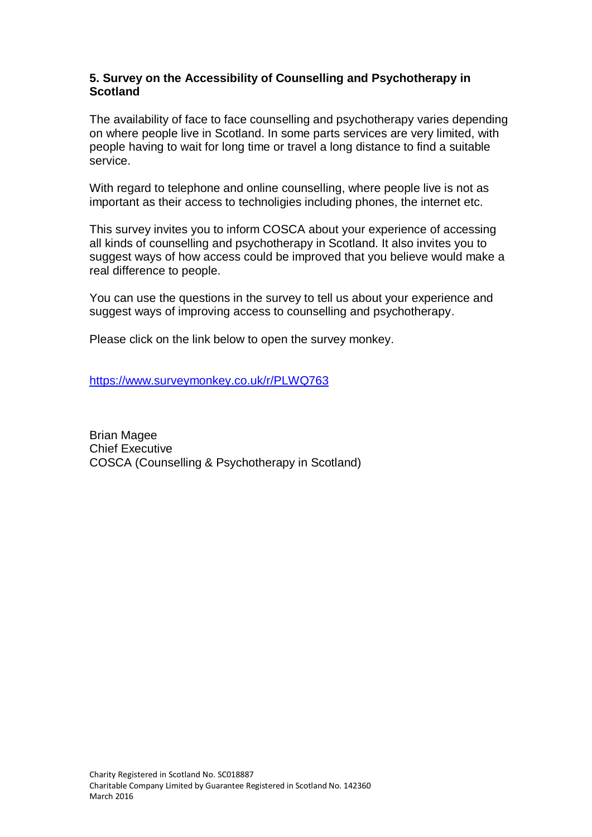#### **5. Survey on the Accessibility of Counselling and Psychotherapy in Scotland**

The availability of face to face counselling and psychotherapy varies depending on where people live in Scotland. In some parts services are very limited, with people having to wait for long time or travel a long distance to find a suitable service.

With regard to telephone and online counselling, where people live is not as important as their access to technoligies including phones, the internet etc.

This survey invites you to inform COSCA about your experience of accessing all kinds of counselling and psychotherapy in Scotland. It also invites you to suggest ways of how access could be improved that you believe would make a real difference to people.

You can use the questions in the survey to tell us about your experience and suggest ways of improving access to counselling and psychotherapy.

Please click on the link below to open the survey monkey.

<https://www.surveymonkey.co.uk/r/PLWQ763>

Brian Magee Chief Executive COSCA (Counselling & Psychotherapy in Scotland)